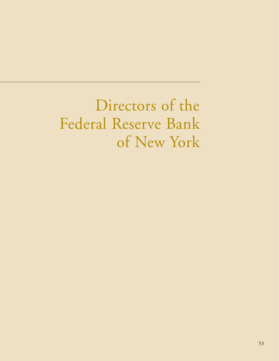Directors of the Federal Reserve Bank of New York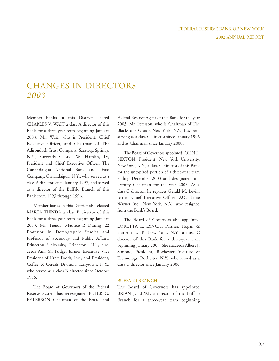## CHANGES IN DIRECTORS *2003*

Member banks in this District elected CHARLES V. WAIT a class A director of this Bank for a three-year term beginning January 2003. Mr. Wait, who is President, Chief Executive Officer, and Chairman of The Adirondack Trust Company, Saratoga Springs, N.Y., succeeds George W. Hamlin, IV, President and Chief Executive Officer, The Canandaigua National Bank and Trust Company, Canandaigua, N.Y., who served as a class A director since January 1997, and served as a director of the Buffalo Branch of this Bank from 1993 through 1996.

Member banks in this District also elected MARTA TIENDA a class B director of this Bank for a three-year term beginning January 2003. Ms. Tienda, Maurice P. During '22 Professor in Demographic Studies and Professor of Sociology and Public Affairs, Princeton University, Princeton, N.J., succeeds Ann M. Fudge, former Executive Vice President of Kraft Foods, Inc., and President, Coffee & Cereals Division, Tarrytown, N.Y., who served as a class B director since October 1996.

The Board of Governors of the Federal Reserve System has redesignated PETER G. PETERSON Chairman of the Board and Federal Reserve Agent of this Bank for the year 2003. Mr. Peterson, who is Chairman of The Blackstone Group, New York, N.Y., has been serving as a class C director since January 1996 and as Chairman since January 2000.

The Board of Governors appointed JOHN E. SEXTON, President, New York University, New York, N.Y., a class C director of this Bank for the unexpired portion of a three-year term ending December 2003 and designated him Deputy Chairman for the year 2003. As a class C director, he replaces Gerald M. Levin, retired Chief Executive Officer, AOL Time Warner Inc., New York, N.Y., who resigned from the Bank's Board.

The Board of Governors also appointed LORETTA E. LYNCH, Partner, Hogan & Hartson L.L.P., New York, N.Y., a class C director of this Bank for a three-year term beginning January 2003. She succeeds Albert J. Simone, President, Rochester Institute of Technology, Rochester, N.Y., who served as a class C director since January 2000.

## BUFFALO BRANCH

The Board of Governors has appointed BRIAN J. LIPKE a director of the Buffalo Branch for a three-year term beginning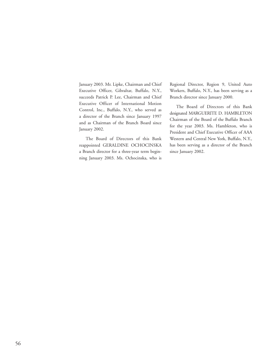January 2003. Mr. Lipke, Chairman and Chief Executive Officer, Gibraltar, Buffalo, N.Y., succeeds Patrick P. Lee, Chairman and Chief Executive Officer of International Motion Control, Inc., Buffalo, N.Y., who served as a director of the Branch since January 1997 and as Chairman of the Branch Board since January 2002.

The Board of Directors of this Bank reappointed GERALDINE OCHOCINSKA a Branch director for a three-year term beginning January 2003. Ms. Ochocinska, who is

Regional Director, Region 9, United Auto Workers, Buffalo, N.Y., has been serving as a Branch director since January 2000.

The Board of Directors of this Bank designated MARGUERITE D. HAMBLETON Chairman of the Board of the Buffalo Branch for the year 2003. Ms. Hambleton, who is President and Chief Executive Officer of AAA Western and Central New York, Buffalo, N.Y., has been serving as a director of the Branch since January 2002.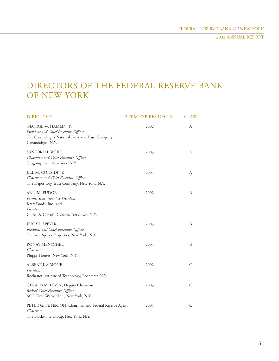# DIRECTORS OF THE FEDERAL RESERVE BANK OF NEW YORK

| <b>DIRECTORS</b>                                                                                                                       | <b>TERM EXPIRES DEC. 31</b> | <b>CLASS</b> |
|----------------------------------------------------------------------------------------------------------------------------------------|-----------------------------|--------------|
| GEORGE W. HAMLIN, IV<br>President and Chief Executive Officer<br>The Canandaigua National Bank and Trust Company,<br>Canandaigua, N.Y. | 2002                        | А            |
| SANFORD I. WEILL<br>Chairman and Chief Executive Officer<br>Citigroup Inc., New York, N.Y.                                             | 2003                        | А            |
| JILL M. CONSIDINE<br>Chairman and Chief Executive Officer<br>The Depository Trust Company, New York, N.Y.                              | 2004                        | A            |
| ANN M. FUDGE<br>Former Executive Vice President<br>Kraft Foods, Inc., and<br>President<br>Coffee & Cereals Division, Tarrytown, N.Y.   | 2002                        | B            |
| <b>JERRY I. SPEYER</b><br>President and Chief Executive Officer<br>Tishman Speyer Properties, New York, N.Y.                           | 2003                        | B            |
| RONAY MENSCHEL<br>Chairman<br>Phipps Houses, New York, N.Y.                                                                            | 2004                        | B            |
| ALBERT J. SIMONE<br>President<br>Rochester Institute of Technology, Rochester, N.Y.                                                    | 2002                        | C            |
| GERALD M. LEVIN, Deputy Chairman<br>Retired Chief Executive Officer<br>AOL Time Warner Inc., New York, N.Y.                            | 2003                        | C            |
| PETER G. PETERSON, Chairman and Federal Reserve Agent<br>Chairman<br>The Blackstone Group, New York, N.Y.                              | 2004                        | C            |